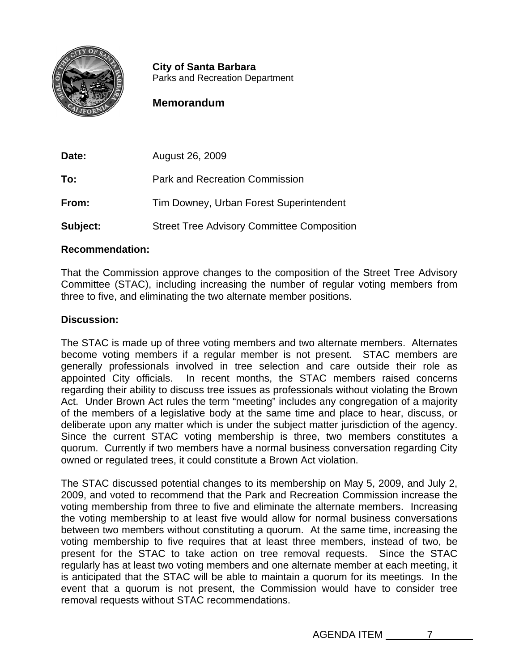

**City of Santa Barbara** Parks and Recreation Department

# **Memorandum**

| Date:    | August 26, 2009                                   |
|----------|---------------------------------------------------|
| To:      | <b>Park and Recreation Commission</b>             |
| From:    | Tim Downey, Urban Forest Superintendent           |
| Subject: | <b>Street Tree Advisory Committee Composition</b> |

## **Recommendation:**

That the Commission approve changes to the composition of the Street Tree Advisory Committee (STAC), including increasing the number of regular voting members from three to five, and eliminating the two alternate member positions.

## **Discussion:**

The STAC is made up of three voting members and two alternate members. Alternates become voting members if a regular member is not present. STAC members are generally professionals involved in tree selection and care outside their role as appointed City officials. In recent months, the STAC members raised concerns regarding their ability to discuss tree issues as professionals without violating the Brown Act. Under Brown Act rules the term "meeting" includes any congregation of a majority of the members of a legislative body at the same time and place to hear, discuss, or deliberate upon any matter which is under the subject matter jurisdiction of the agency. Since the current STAC voting membership is three, two members constitutes a quorum. Currently if two members have a normal business conversation regarding City owned or regulated trees, it could constitute a Brown Act violation.

The STAC discussed potential changes to its membership on May 5, 2009, and July 2, 2009, and voted to recommend that the Park and Recreation Commission increase the voting membership from three to five and eliminate the alternate members. Increasing the voting membership to at least five would allow for normal business conversations between two members without constituting a quorum. At the same time, increasing the voting membership to five requires that at least three members, instead of two, be present for the STAC to take action on tree removal requests. Since the STAC regularly has at least two voting members and one alternate member at each meeting, it is anticipated that the STAC will be able to maintain a quorum for its meetings. In the event that a quorum is not present, the Commission would have to consider tree removal requests without STAC recommendations.